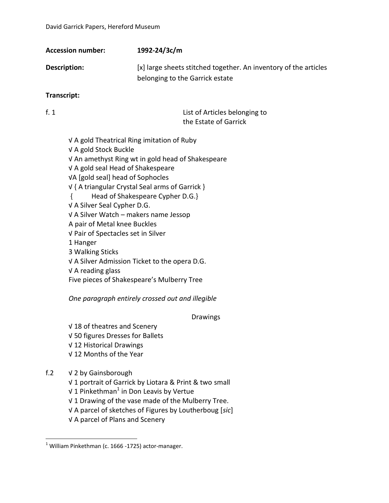| <b>Accession number:</b> | 1992-24/3c/m                                                                                        |
|--------------------------|-----------------------------------------------------------------------------------------------------|
| Description:             | [x] large sheets stitched together. An inventory of the articles<br>belonging to the Garrick estate |
| Taxaa qaalaha            |                                                                                                     |

**Transcript:**

f. 1 List of Articles belonging to the Estate of Garrick

√ A gold Theatrical Ring imitation of Ruby √ A gold Stock Buckle √ An amethyst Ring wt in gold head of Shakespeare √ A gold seal Head of Shakespeare √A [gold seal] head of Sophocles √ { A triangular Crystal Seal arms of Garrick } { Head of Shakespeare Cypher D.G.} √ A Silver Seal Cypher D.G. √ A Silver Watch – makers name Jessop A pair of Metal knee Buckles √ Pair of Spectacles set in Silver 1 Hanger 3 Walking Sticks √ A Silver Admission Ticket to the opera D.G. √ A reading glass

Five pieces of Shakespeare's Mulberry Tree

*One paragraph entirely crossed out and illegible*

Drawings

√ 18 of theatres and Scenery √ 50 figures Dresses for Ballets √ 12 Historical Drawings √ 12 Months of the Year

# f.2 √ 2 by Gainsborough

 $\overline{a}$ 

- √ 1 portrait of Garrick by Liotara & Print & two small
- √ 1 Pinkethman $^1$  in Don Leavis by Vertue
- √ 1 Drawing of the vase made of the Mulberry Tree.
- √ A parcel of sketches of Figures by Loutherboug [*sic*]
- √ A parcel of Plans and Scenery

 $<sup>1</sup>$  William Pinkethman (c. 1666 -1725) actor-manager.</sup>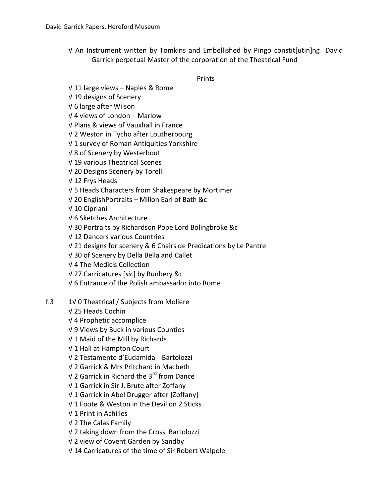√ An Instrument written by Tomkins and Embellished by Pingo constit[utin]ng David Garrick perpetual Master of the corporation of the Theatrical Fund

Prints

- √ 11 large views Naples & Rome
- √ 19 designs of Scenery
- √ 6 large after Wilson
- √ 4 views of London Marlow
- √ Plans & views of Vauxhall in France
- √ 2 Weston in Tycho after Loutherbourg
- √ 1 survey of Roman Antiquities Yorkshire
- √ 8 of Scenery by Westerbout
- √ 19 various Theatrical Scenes
- √ 20 Designs Scenery by Torelli
- √ 12 Frys Heads
- √ 5 Heads Characters from Shakespeare by Mortimer
- √ 20 EnglishPortraits Millon Earl of Bath &c
- √ 10 Cipriani
- √ 6 Sketches Architecture
- √ 30 Portraits by Richardson Pope Lord Bolingbroke &c
- √ 12 Dancers various Countries
- √ 21 designs for scenery & 6 Chairs de Predications by Le Pantre
- √ 30 of Scenery by Della Bella and Callet
- √ 4 The Medicis Collection
- √ 27 Carricatures [*sic*] by Bunbery &c
- √ 6 Entrance of the Polish ambassador into Rome
- f.3 1√ 0 Theatrical / Subjects from Moliere
	- √ 25 Heads Cochin
	- √ 4 Prophetic accomplice
	- √ 9 Views by Buck in various Counties
	- √ 1 Maid of the Mill by Richards
	- √ 1 Hall at Hampton Court
	- √ 2 Testamente d'Eudamida Bartolozzi
	- √ 2 Garrick & Mrs Pritchard in Macbeth
	- √ 2 Garrick in Richard the 3rd from Dance
	- √ 1 Garrick in Sir J. Brute after Zoffany
	- √ 1 Garrick in Abel Drugger after [Zoffany]
	- √ 1 Foote & Weston in the Devil on 2 Sticks
	- √ 1 Print in Achilles
	- √ 2 The Calas Family
	- √ 2 taking down from the Cross Bartolozzi
	- √ 2 view of Covent Garden by Sandby
	- √ 14 Carricatures of the time of Sir Robert Walpole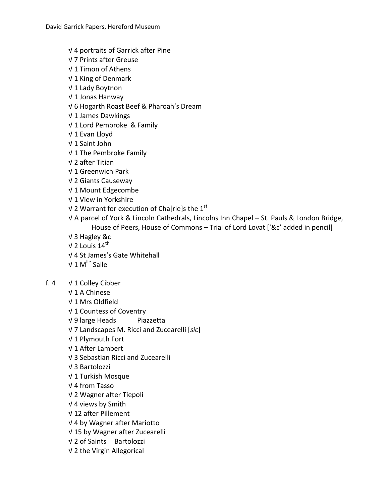- √ 4 portraits of Garrick after Pine
- √ 7 Prints after Greuse
- √ 1 Timon of Athens
- √ 1 King of Denmark
- √ 1 Lady Boytnon
- √ 1 Jonas Hanway
- √ 6 Hogarth Roast Beef & Pharoah's Dream
- √ 1 James Dawkings
- √ 1 Lord Pembroke & Family
- √ 1 Evan Lloyd
- √ 1 Saint John
- √ 1 The Pembroke Family
- √ 2 after Titian
- √ 1 Greenwich Park
- √ 2 Giants Causeway
- √ 1 Mount Edgecombe
- √ 1 View in Yorkshire
- √ 2 Warrant for execution of Cha[rle]s the  $1<sup>st</sup>$
- √ A parcel of York & Lincoln Cathedrals, Lincolns Inn Chapel St. Pauls & London Bridge, House of Peers, House of Commons – Trial of Lord Lovat ['&c' added in pencil]
- √ 3 Hagley &c
- $\sqrt{2}$  Louis 14<sup>th</sup>
- √ 4 St James's Gate Whitehall
- $V$  1 M<sup>lle</sup> Salle
- f. 4 √ 1 Colley Cibber
	- √ 1 A Chinese
	- √ 1 Mrs Oldfield
	- √ 1 Countess of Coventry
	- √ 9 large Heads Piazzetta
	- √ 7 Landscapes M. Ricci and Zucearelli [*sic*]
	- √ 1 Plymouth Fort
	- √ 1 After Lambert
	- √ 3 Sebastian Ricci and Zucearelli
	- √ 3 Bartolozzi
	- √ 1 Turkish Mosque
	- √ 4 from Tasso
	- √ 2 Wagner after Tiepoli
	- √ 4 views by Smith
	- √ 12 after Pillement
	- √ 4 by Wagner after Mariotto
	- √ 15 by Wagner after Zucearelli
	- √ 2 of Saints Bartolozzi
	- √ 2 the Virgin Allegorical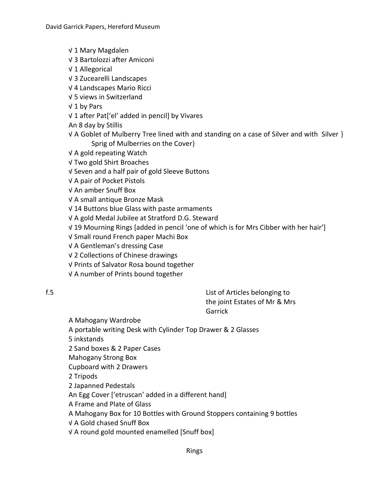√ 1 Mary Magdalen

- √ 3 Bartolozzi after Amiconi
- √ 1 Allegorical
- √ 3 Zucearelli Landscapes
- √ 4 Landscapes Mario Ricci
- √ 5 views in Switzerland
- √ 1 by Pars
- √ 1 after Pat['el' added in pencil] by Vivares
- An 8 day by Stillis
- √ A Goblet of Mulberry Tree lined with and standing on a case of Silver and with Silver } Sprig of Mulberries on the Cover}
- √ A gold repeating Watch
- √ Two gold Shirt Broaches
- √ Seven and a half pair of gold Sleeve Buttons
- √ A pair of Pocket Pistols
- √ An amber Snuff Box
- √ A small antique Bronze Mask
- √ 14 Buttons blue Glass with paste armaments
- √ A gold Medal Jubilee at Stratford D.G. Steward
- √ 19 Mourning Rings [added in pencil 'one of which is for Mrs Cibber with her hair']
- √ Small round French paper Machi Box
- √ A Gentleman's dressing Case
- √ 2 Collections of Chinese drawings
- √ Prints of Salvator Rosa bound together
- √ A number of Prints bound together

f.5 List of Articles belonging to the joint Estates of Mr & Mrs Garrick

A Mahogany Wardrobe

- A portable writing Desk with Cylinder Top Drawer & 2 Glasses
- 5 inkstands
- 2 Sand boxes & 2 Paper Cases
- Mahogany Strong Box
- Cupboard with 2 Drawers
- 2 Tripods
- 2 Japanned Pedestals
- An Egg Cover ['etruscan' added in a different hand]
- A Frame and Plate of Glass
- A Mahogany Box for 10 Bottles with Ground Stoppers containing 9 bottles
- √ A Gold chased Snuff Box
- √ A round gold mounted enamelled [Snuff box]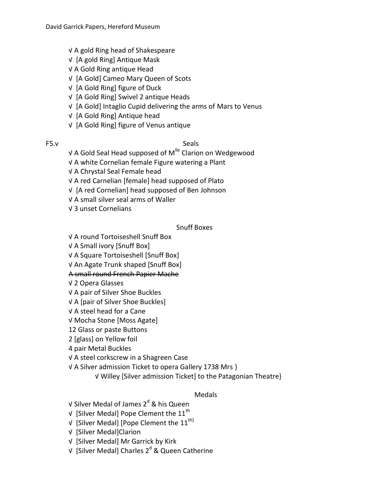- √ A gold Ring head of Shakespeare
- √ [A gold Ring] Antique Mask
- √ A Gold Ring antique Head
- √ [A Gold] Cameo Mary Queen of Scots
- √ [A Gold Ring] figure of Duck
- √ [A Gold Ring] Swivel 2 antique Heads
- √ [A Gold] Intaglio Cupid delivering the arms of Mars to Venus
- √ [A Gold Ring] Antique head
- √ [A Gold Ring] figure of Venus antique

#### F5.v Seals

- √ A Gold Seal Head supposed of M<sup>lle</sup> Clarion on Wedgewood
- √ A white Cornelian female Figure watering a Plant
- √ A Chrystal Seal Female head
- √ A red Carnelian [female] head supposed of Plato
- √ [A red Cornelian] head supposed of Ben Johnson
- √ A small silver seal arms of Waller
- √ 3 unset Cornelians

## Snuff Boxes

- √ A round Tortoiseshell Snuff Box
- √ A Small ivory [Snuff Box]
- √ A Square Tortoiseshell [Snuff Box]
- √ An Agate Trunk shaped [Snuff Box]

## A small round French Papier Mache

- √ 2 Opera Glasses
- √ A pair of Silver Shoe Buckles
- √ A [pair of Silver Shoe Buckles]
- √ A steel head for a Cane
- √ Mocha Stone [Moss Agate]
- 12 Glass or paste Buttons
- 2 [glass] on Yellow foil
- 4 pair Metal Buckles
- √ A steel corkscrew in a Shagreen Case
- √ A Silver admission Ticket to opera Gallery 1738 Mrs }
	- √ Willey [Silver admission Ticket] to the Patagonian Theatre}

## Medals

- √ Silver Medal of James 2<sup>d</sup> & his Queen
- $\sqrt{ }$  [Silver Medal] Pope Clement the 11<sup>th</sup>
- √ [Silver Medal] [Pope Clement the  $11<sup>th</sup>$ ]
- √ [Silver Medal]Clarion
- √ [Silver Medal] Mr Garrick by Kirk
- √ [Silver Medal] Charles 2<sup>d</sup> & Queen Catherine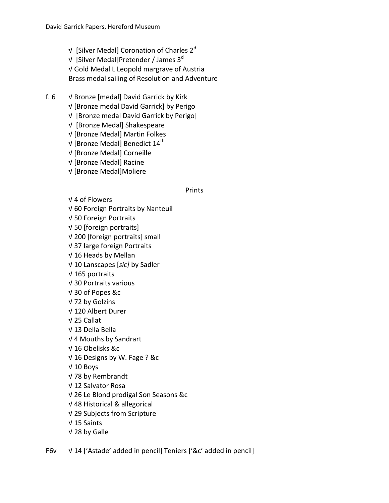- √ [Silver Medal] Coronation of Charles 2<sup>d</sup> √ [Silver Medal]Pretender / James  $3<sup>d</sup>$ √ Gold Medal L Leopold margrave of Austria Brass medal sailing of Resolution and Adventure
- f. 6 √ Bronze [medal] David Garrick by Kirk
	- √ [Bronze medal David Garrick] by Perigo
	- √ [Bronze medal David Garrick by Perigo]
	- √ [Bronze Medal] Shakespeare
	- √ [Bronze Medal] Martin Folkes
	- $\sqrt{}$  [Bronze Medal] Benedict 14<sup>th</sup>
	- √ [Bronze Medal] Corneille
	- √ [Bronze Medal] Racine
	- √ [Bronze Medal]Moliere

#### **Prints**

- √ 4 of Flowers
- √ 60 Foreign Portraits by Nanteuil
- √ 50 Foreign Portraits
- √ 50 [foreign portraits]
- √ 200 [foreign portraits] small
- √ 37 large foreign Portraits
- √ 16 Heads by Mellan
- √ 10 Lanscapes [*sic]* by Sadler
- √ 165 portraits
- √ 30 Portraits various
- √ 30 of Popes &c
- √ 72 by Golzins
- √ 120 Albert Durer
- √ 25 Callat
- √ 13 Della Bella
- √ 4 Mouths by Sandrart
- √ 16 Obelisks &c
- √ 16 Designs by W. Fage ? &c
- √ 10 Boys
- √ 78 by Rembrandt
- √ 12 Salvator Rosa
- √ 26 Le Blond prodigal Son Seasons &c
- √ 48 Historical & allegorical
- √ 29 Subjects from Scripture
- √ 15 Saints
- √ 28 by Galle
- F6v √ 14 ['Astade' added in pencil] Teniers ['&c' added in pencil]